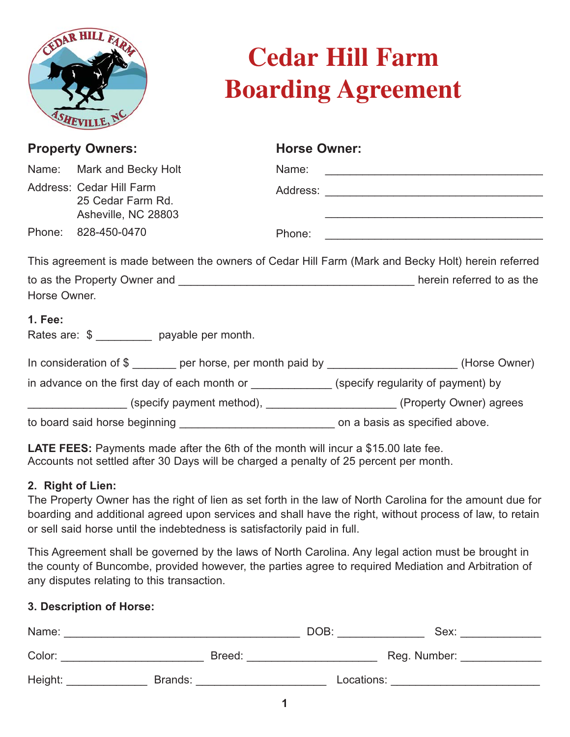

# **Cedar Hill Farm Boarding Agreement**

| <b>Property Owners:</b>                                                                       |                                                                      | <b>Horse Owner:</b> |                                                                                                    |
|-----------------------------------------------------------------------------------------------|----------------------------------------------------------------------|---------------------|----------------------------------------------------------------------------------------------------|
|                                                                                               | Name: Mark and Becky Holt                                            |                     |                                                                                                    |
|                                                                                               | Address: Cedar Hill Farm<br>25 Cedar Farm Rd.<br>Asheville, NC 28803 |                     |                                                                                                    |
|                                                                                               | Phone: 828-450-0470                                                  | Phone:              |                                                                                                    |
|                                                                                               |                                                                      |                     | This agreement is made between the owners of Cedar Hill Farm (Mark and Becky Holt) herein referred |
| Horse Owner.                                                                                  |                                                                      |                     |                                                                                                    |
| <b>1. Fee:</b>                                                                                | Rates are: \$ ________ payable per month.                            |                     |                                                                                                    |
|                                                                                               |                                                                      |                     | In consideration of \$ _______ per horse, per month paid by ___________________(Horse Owner)       |
| in advance on the first day of each month or ______________(specify regularity of payment) by |                                                                      |                     |                                                                                                    |
|                                                                                               |                                                                      |                     | (specify payment method), _____________________(Property Owner) agrees                             |
|                                                                                               |                                                                      |                     | on a basis as specified above.                                                                     |

**LATE FEES:** Payments made after the 6th of the month will incur a \$15.00 late fee. Accounts not settled after 30 Days will be charged a penalty of 25 percent per month.

### **2. Right of Lien:**

The Property Owner has the right of lien as set forth in the law of North Carolina for the amount due for boarding and additional agreed upon services and shall have the right, without process of law, to retain or sell said horse until the indebtedness is satisfactorily paid in full.

This Agreement shall be governed by the laws of North Carolina. Any legal action must be brought in the county of Buncombe, provided however, the parties agree to required Mediation and Arbitration of any disputes relating to this transaction.

#### **3. Description of Horse:**

| Name:   |         | DOB:       | Sex:         |
|---------|---------|------------|--------------|
| Color:  | Breed:  |            | Reg. Number: |
| Height: | Brands: | Locations: |              |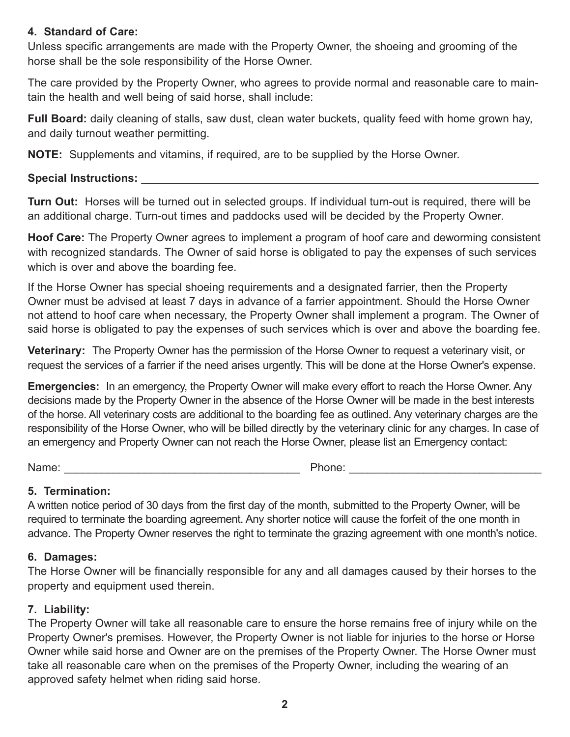## **4. Standard of Care:**

Unless specific arrangements are made with the Property Owner, the shoeing and grooming of the horse shall be the sole responsibility of the Horse Owner.

The care provided by the Property Owner, who agrees to provide normal and reasonable care to maintain the health and well being of said horse, shall include:

**Full Board:** daily cleaning of stalls, saw dust, clean water buckets, quality feed with home grown hay, and daily turnout weather permitting.

**NOTE:** Supplements and vitamins, if required, are to be supplied by the Horse Owner.

## **Special Instructions:** \_\_\_\_\_\_\_\_\_\_\_\_\_\_\_\_\_\_\_\_\_\_\_\_\_\_\_\_\_\_\_\_\_\_\_\_\_\_\_\_\_\_\_\_\_\_\_\_\_\_\_\_\_\_\_\_\_\_\_\_\_\_\_\_

**Turn Out:** Horses will be turned out in selected groups. If individual turn-out is required, there will be an additional charge. Turn-out times and paddocks used will be decided by the Property Owner.

**Hoof Care:** The Property Owner agrees to implement a program of hoof care and deworming consistent with recognized standards. The Owner of said horse is obligated to pay the expenses of such services which is over and above the boarding fee.

If the Horse Owner has special shoeing requirements and a designated farrier, then the Property Owner must be advised at least 7 days in advance of a farrier appointment. Should the Horse Owner not attend to hoof care when necessary, the Property Owner shall implement a program. The Owner of said horse is obligated to pay the expenses of such services which is over and above the boarding fee.

**Veterinary:** The Property Owner has the permission of the Horse Owner to request a veterinary visit, or request the services of a farrier if the need arises urgently. This will be done at the Horse Owner's expense.

**Emergencies:** In an emergency, the Property Owner will make every effort to reach the Horse Owner. Any decisions made by the Property Owner in the absence of the Horse Owner will be made in the best interests of the horse. All veterinary costs are additional to the boarding fee as outlined. Any veterinary charges are the responsibility of the Horse Owner, who will be billed directly by the veterinary clinic for any charges. In case of an emergency and Property Owner can not reach the Horse Owner, please list an Emergency contact:

Name: \_\_\_\_\_\_\_\_\_\_\_\_\_\_\_\_\_\_\_\_\_\_\_\_\_\_\_\_\_\_\_\_\_\_\_\_\_\_ Phone: \_\_\_\_\_\_\_\_\_\_\_\_\_\_\_\_\_\_\_\_\_\_\_\_\_\_\_\_\_\_\_

## **5. Termination:**

A written notice period of 30 days from the first day of the month, submitted to the Property Owner, will be required to terminate the boarding agreement. Any shorter notice will cause the forfeit of the one month in advance. The Property Owner reserves the right to terminate the grazing agreement with one month's notice.

## **6. Damages:**

The Horse Owner will be financially responsible for any and all damages caused by their horses to the property and equipment used therein.

## **7. Liability:**

The Property Owner will take all reasonable care to ensure the horse remains free of injury while on the Property Owner's premises. However, the Property Owner is not liable for injuries to the horse or Horse Owner while said horse and Owner are on the premises of the Property Owner. The Horse Owner must take all reasonable care when on the premises of the Property Owner, including the wearing of an approved safety helmet when riding said horse.